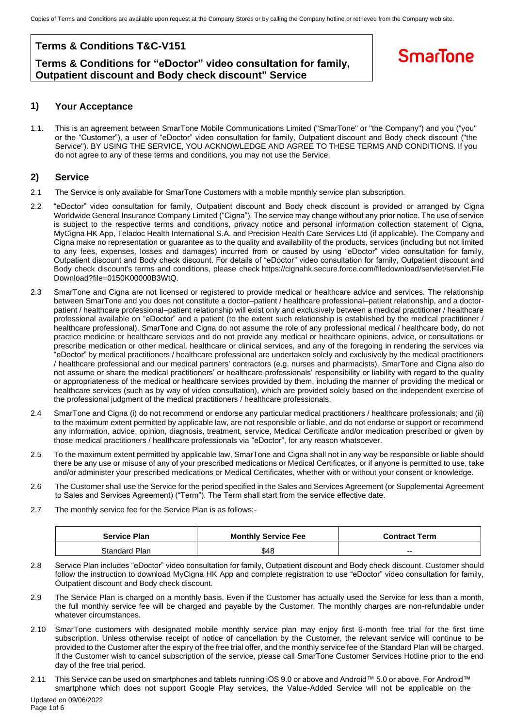### **Terms & Conditions T&C-V151**

### **Terms & Conditions for "eDoctor" video consultation for family, Outpatient discount and Body check discount" Service**

## **SmarTone**

### **1) Your Acceptance**

1.1. This is an agreement between SmarTone Mobile Communications Limited ("SmarTone" or "the Company") and you ("you" or the "Customer"), a user of "eDoctor" video consultation for family, Outpatient discount and Body check discount ("the Service"). BY USING THE SERVICE, YOU ACKNOWLEDGE AND AGREE TO THESE TERMS AND CONDITIONS. If you do not agree to any of these terms and conditions, you may not use the Service.

### **2) Service**

- 2.1 The Service is only available for SmarTone Customers with a mobile monthly service plan subscription.
- 2.2 "eDoctor" video consultation for family, Outpatient discount and Body check discount is provided or arranged by Cigna Worldwide General Insurance Company Limited ("Cigna"). The service may change without any prior notice. The use of service is subject to the respective terms and conditions, privacy notice and personal information collection statement of Cigna, MyCigna HK App, Teladoc Health International S.A. and Precision Health Care Services Ltd (if applicable). The Company and Cigna make no representation or guarantee as to the quality and availability of the products, services (including but not limited to any fees, expenses, losses and damages) incurred from or caused by using "eDoctor" video consultation for family, Outpatient discount and Body check discount. For details of "eDoctor" video consultation for family, Outpatient discount and Body check discount's terms and conditions, please check <https://cignahk.secure.force.com/filedownload/servlet/servlet.File> Download?file=0150K00000B3WtQ.
- 2.3 SmarTone and Cigna are not licensed or registered to provide medical or healthcare advice and services. The relationship between SmarTone and you does not constitute a doctor–patient / healthcare professional–patient relationship, and a doctorpatient / healthcare professional–patient relationship will exist only and exclusively between a medical practitioner / healthcare professional available on "eDoctor" and a patient (to the extent such relationship is established by the medical practitioner / healthcare professional). SmarTone and Cigna do not assume the role of any professional medical / healthcare body, do not practice medicine or healthcare services and do not provide any medical or healthcare opinions, advice, or consultations or prescribe medication or other medical, healthcare or clinical services, and any of the foregoing in rendering the services via "eDoctor" by medical practitioners / healthcare professional are undertaken solely and exclusively by the medical practitioners / healthcare professional and our medical partners' contractors (e.g. nurses and pharmacists). SmarTone and Cigna also do not assume or share the medical practitioners' or healthcare professionals' responsibility or liability with regard to the quality or appropriateness of the medical or healthcare services provided by them, including the manner of providing the medical or healthcare services (such as by way of video consultation), which are provided solely based on the independent exercise of the professional judgment of the medical practitioners / healthcare professionals.
- 2.4 SmarTone and Cigna (i) do not recommend or endorse any particular medical practitioners / healthcare professionals; and (ii) to the maximum extent permitted by applicable law, are not responsible or liable, and do not endorse or support or recommend any information, advice, opinion, diagnosis, treatment, service, Medical Certificate and/or medication prescribed or given by those medical practitioners / healthcare professionals via "eDoctor", for any reason whatsoever.
- 2.5 To the maximum extent permitted by applicable law, SmarTone and Cigna shall not in any way be responsible or liable should there be any use or misuse of any of your prescribed medications or Medical Certificates, or if anyone is permitted to use, take and/or administer your prescribed medications or Medical Certificates, whether with or without your consent or knowledge.
- 2.6 The Customer shall use the Service for the period specified in the Sales and Services Agreement (or Supplemental Agreement to Sales and Services Agreement) ("Term"). The Term shall start from the service effective date.
- 2.7 The monthly service fee for the Service Plan is as follows:-

| <b>Service Plan</b> | <b>Monthly Service Fee</b> | <b>Contract Term</b> |
|---------------------|----------------------------|----------------------|
| Standard Plan       | \$48                       | $- -$                |

- 2.8 Service Plan includes "eDoctor" video consultation for family, Outpatient discount and Body check discount. Customer should follow the instruction to download MyCigna HK App and complete registration to use "eDoctor" video consultation for family, Outpatient discount and Body check discount.
- 2.9 The Service Plan is charged on a monthly basis. Even if the Customer has actually used the Service for less than a month, the full monthly service fee will be charged and payable by the Customer. The monthly charges are non-refundable under whatever circumstances.
- 2.10 SmarTone customers with designated mobile monthly service plan may enjoy first 6-month free trial for the first time subscription. Unless otherwise receipt of notice of cancellation by the Customer, the relevant service will continue to be provided to the Customer after the expiry of the free trial offer, and the monthly service fee of the Standard Plan will be charged. If the Customer wish to cancel subscription of the service, please call SmarTone Customer Services Hotline prior to the end day of the free trial period.
- Updated on 09/06/2022 2.11 This Service can be used on smartphones and tablets running iOS 9.0 or above and Android™ 5.0 or above. For Android™ smartphone which does not support Google Play services, the Value-Added Service will not be applicable on the

Page 1of 6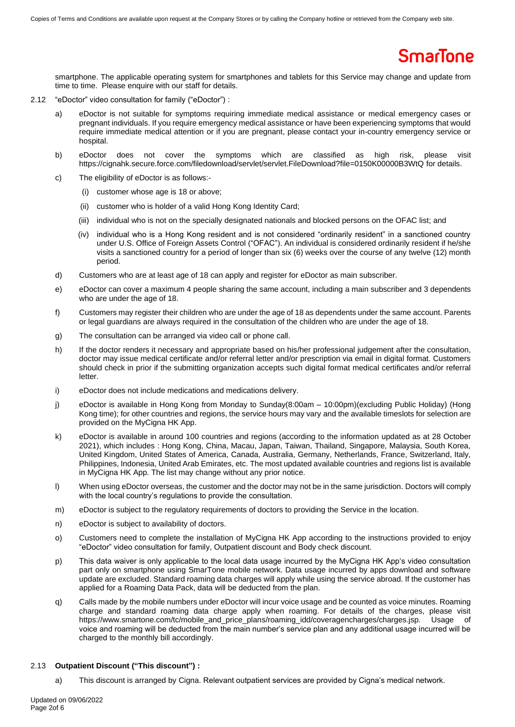smartphone. The applicable operating system for smartphones and tablets for this Service may change and update from time to time. Please enquire with our staff for details.

- 2.12 "eDoctor" video consultation for family ("eDoctor") :
	- a) eDoctor is not suitable for symptoms requiring immediate medical assistance or medical emergency cases or pregnant individuals. If you require emergency medical assistance or have been experiencing symptoms that would require immediate medical attention or if you are pregnant, please contact your in-country emergency service or hospital.
	- b) eDoctor does not cover the symptoms which are classified as high risk, please visit https://cignahk.secure.force.com/filedownload/servlet/servlet.FileDownload?file=0150K00000B3WtQ for details.
	- c) The eligibility of eDoctor is as follows:-
		- (i) customer whose age is 18 or above;
		- (ii) customer who is holder of a valid Hong Kong Identity Card;
		- (iii) individual who is not on the specially designated nationals and blocked persons on the OFAC list; and
		- (iv) individual who is a Hong Kong resident and is not considered "ordinarily resident" in a sanctioned country under U.S. Office of Foreign Assets Control ("OFAC"). An individual is considered ordinarily resident if he/she visits a sanctioned country for a period of longer than six (6) weeks over the course of any twelve (12) month period.
	- d) Customers who are at least age of 18 can apply and register for eDoctor as main subscriber.
	- e) eDoctor can cover a maximum 4 people sharing the same account, including a main subscriber and 3 dependents who are under the age of 18.
	- f) Customers may register their children who are under the age of 18 as dependents under the same account. Parents or legal guardians are always required in the consultation of the children who are under the age of 18.
	- g) The consultation can be arranged via video call or phone call.
	- h) If the doctor renders it necessary and appropriate based on his/her professional judgement after the consultation, doctor may issue medical certificate and/or referral letter and/or prescription via email in digital format. Customers should check in prior if the submitting organization accepts such digital format medical certificates and/or referral letter.
	- i) eDoctor does not include medications and medications delivery.
	- j) eDoctor is available in Hong Kong from Monday to Sunday(8:00am 10:00pm)(excluding Public Holiday) (Hong Kong time); for other countries and regions, the service hours may vary and the available timeslots for selection are provided on the MyCigna HK App.
	- k) eDoctor is available in around 100 countries and regions (according to the information updated as at 28 October 2021), which includes : Hong Kong, China, Macau, Japan, Taiwan, Thailand, Singapore, Malaysia, South Korea, United Kingdom, United States of America, Canada, Australia, Germany, Netherlands, France, Switzerland, Italy, Philippines, Indonesia, United Arab Emirates, etc. The most updated available countries and regions list is available in MyCigna HK App. The list may change without any prior notice.
	- l) When using eDoctor overseas, the customer and the doctor may not be in the same jurisdiction. Doctors will comply with the local country's regulations to provide the consultation.
	- m) eDoctor is subject to the regulatory requirements of doctors to providing the Service in the location.
	- n) eDoctor is subject to availability of doctors.
	- o) Customers need to complete the installation of MyCigna HK App according to the instructions provided to enjoy "eDoctor" video consultation for family, Outpatient discount and Body check discount.
	- p) This data waiver is only applicable to the local data usage incurred by the MyCigna HK App's video consultation part only on smartphone using SmarTone mobile network. Data usage incurred by apps download and software update are excluded. Standard roaming data charges will apply while using the service abroad. If the customer has applied for a Roaming Data Pack, data will be deducted from the plan.
	- q) Calls made by the mobile numbers under eDoctor will incur voice usage and be counted as voice minutes. Roaming charge and standard roaming data charge apply when roaming. For details of the charges, please visit https://www.smartone.com/tc/mobile\_and\_price\_plans/roaming\_idd/coveragencharges/charges.jsp. Usage of voice and roaming will be deducted from the main number's service plan and any additional usage incurred will be charged to the monthly bill accordingly.

#### 2.13 **Outpatient Discount ("This discount") :**

a) This discount is arranged by Cigna. Relevant outpatient services are provided by Cigna's medical network.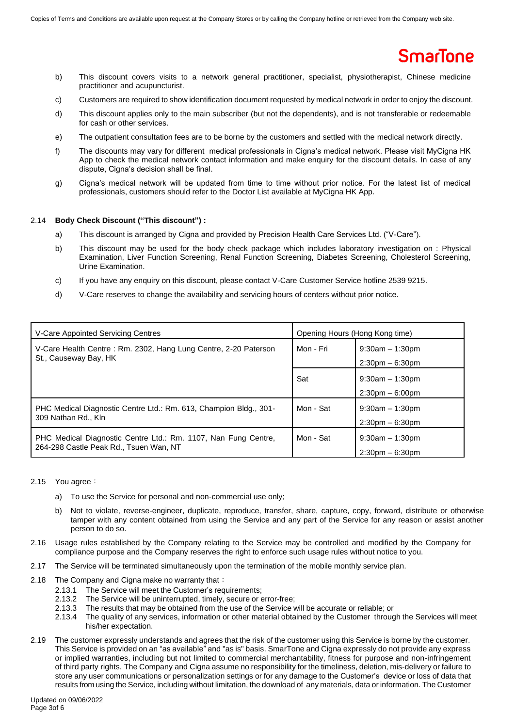- b) This discount covers visits to a network general practitioner, specialist, physiotherapist, Chinese medicine practitioner and acupuncturist.
- c) Customers are required to show identification document requested by medical network in order to enjoy the discount.
- d) This discount applies only to the main subscriber (but not the dependents), and is not transferable or redeemable for cash or other services.
- e) The outpatient consultation fees are to be borne by the customers and settled with the medical network directly.
- f) The discounts may vary for different medical professionals in Cigna's medical network. Please visit MyCigna HK App to check the medical network contact information and make enquiry for the discount details. In case of any dispute, Cigna's decision shall be final.
- g) Cigna's medical network will be updated from time to time without prior notice. For the latest list of medical professionals, customers should refer to the Doctor List available at MyCigna HK App.

#### 2.14 **Body Check Discount ("This discount") :**

- a) This discount is arranged by Cigna and provided by Precision Health Care Services Ltd. ("V-Care").
- b) This discount may be used for the body check package which includes laboratory investigation on : Physical Examination, Liver Function Screening, Renal Function Screening, Diabetes Screening, Cholesterol Screening, Urine Examination.
- c) If you have any enquiry on this discount, please contact V-Care Customer Service hotline 2539 9215.
- d) V-Care reserves to change the availability and servicing hours of centers without prior notice.

| V-Care Appointed Servicing Centres                                                                       | Opening Hours (Hong Kong time) |                                              |
|----------------------------------------------------------------------------------------------------------|--------------------------------|----------------------------------------------|
| V-Care Health Centre: Rm. 2302, Hang Lung Centre, 2-20 Paterson<br>St., Causeway Bay, HK                 | Mon - Fri                      | $9:30$ am $-1:30$ pm<br>$2:30$ pm $-6:30$ pm |
|                                                                                                          | Sat                            | $9:30am - 1:30pm$<br>$2:30$ pm $-6:00$ pm    |
| PHC Medical Diagnostic Centre Ltd.: Rm. 613, Champion Bldg., 301-<br>309 Nathan Rd., Kln                 | Mon - Sat                      | $9:30$ am $-1:30$ pm<br>$2:30$ pm $-6:30$ pm |
| PHC Medical Diagnostic Centre Ltd.: Rm. 1107, Nan Fung Centre,<br>264-298 Castle Peak Rd., Tsuen Wan, NT | Mon - Sat                      | $9:30$ am $-1:30$ pm<br>$2:30$ pm $-6:30$ pm |

#### 2.15 You agree:

- a) To use the Service for personal and non-commercial use only;
- b) Not to violate, reverse-engineer, duplicate, reproduce, transfer, share, capture, copy, forward, distribute or otherwise tamper with any content obtained from using the Service and any part of the Service for any reason or assist another person to do so.
- 2.16 Usage rules established by the Company relating to the Service may be controlled and modified by the Company for compliance purpose and the Company reserves the right to enforce such usage rules without notice to you.
- 2.17 The Service will be terminated simultaneously upon the termination of the mobile monthly service plan.
- 2.18 The Company and Cigna make no warranty that:
	- 2.13.1 The Service will meet the Customer's requirements;
	- 2.13.2 The Service will be uninterrupted, timely, secure or error-free;
	- 2.13.3 The results that may be obtained from the use of the Service will be accurate or reliable; or
	- 2.13.4 The quality of any services, information or other material obtained by the Customer through the Services will meet his/her expectation.
- 2.19 The customer expressly understands and agrees that the risk of the customer using this Service is borne by the customer. This Service is provided on an "as available" and "as is" basis. SmarTone and Cigna expressly do not provide any express or implied warranties, including but not limited to commercial merchantability, fitness for purpose and non-infringement of third party rights. The Company and Cigna assume no responsibility for the timeliness, deletion, mis-delivery or failure to store any user communications or personalization settings or for any damage to the Customer's device or loss of data that results from using the Service, including without limitation, the download of any materials, data or information. The Customer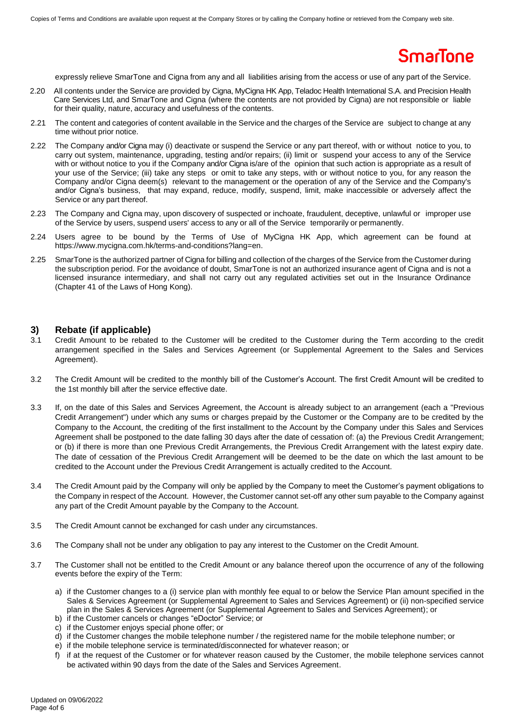expressly relieve SmarTone and Cigna from any and all liabilities arising from the access or use of any part of the Service.

- 2.20 All contents under the Service are provided by Cigna, MyCigna HK App, Teladoc Health International S.A. and Precision Health Care Services Ltd, and SmarTone and Cigna (where the contents are not provided by Cigna) are not responsible or liable for their quality, nature, accuracy and usefulness of the contents.
- 2.21 The content and categories of content available in the Service and the charges of the Service are subject to change at any time without prior notice.
- 2.22 The Company and/or Cigna may (i) deactivate or suspend the Service or any part thereof, with or without notice to you, to carry out system, maintenance, upgrading, testing and/or repairs; (ii) limit or suspend your access to any of the Service with or without notice to you if the Company and/or Cigna is/are of the opinion that such action is appropriate as a result of your use of the Service; (iii) take any steps or omit to take any steps, with or without notice to you, for any reason the Company and/or Cigna deem(s) relevant to the management or the operation of any of the Service and the Company's and/or Cigna's business, that may expand, reduce, modify, suspend, limit, make inaccessible or adversely affect the Service or any part thereof.
- 2.23 The Company and Cigna may, upon discovery of suspected or inchoate, fraudulent, deceptive, unlawful or improper use of the Service by users, suspend users' access to any or all of the Service temporarily or permanently.
- 2.24 Users agree to be bound by the Terms of Use of MyCigna HK App, which agreement can be found at [https://www.mycigna.com.hk/terms-and-conditions?lang=en.](https://www.mycigna.com.hk/terms-and-conditions?lang=en)
- 2.25 SmarTone is the authorized partner of Cigna for billing and collection of the charges of the Service from the Customer during the subscription period. For the avoidance of doubt, SmarTone is not an authorized insurance agent of Cigna and is not a licensed insurance intermediary, and shall not carry out any regulated activities set out in the Insurance Ordinance (Chapter 41 of the Laws of Hong Kong).

### **3) Rebate (if applicable)**

- 3.1 Credit Amount to be rebated to the Customer will be credited to the Customer during the Term according to the credit arrangement specified in the Sales and Services Agreement (or Supplemental Agreement to the Sales and Services Agreement).
- 3.2 The Credit Amount will be credited to the monthly bill of the Customer's Account. The first Credit Amount will be credited to the 1st monthly bill after the service effective date.
- 3.3 If, on the date of this Sales and Services Agreement, the Account is already subject to an arrangement (each a "Previous Credit Arrangement") under which any sums or charges prepaid by the Customer or the Company are to be credited by the Company to the Account, the crediting of the first installment to the Account by the Company under this Sales and Services Agreement shall be postponed to the date falling 30 days after the date of cessation of: (a) the Previous Credit Arrangement; or (b) if there is more than one Previous Credit Arrangements, the Previous Credit Arrangement with the latest expiry date. The date of cessation of the Previous Credit Arrangement will be deemed to be the date on which the last amount to be credited to the Account under the Previous Credit Arrangement is actually credited to the Account.
- 3.4 The Credit Amount paid by the Company will only be applied by the Company to meet the Customer's payment obligations to the Company in respect of the Account. However, the Customer cannot set-off any other sum payable to the Company against any part of the Credit Amount payable by the Company to the Account.
- 3.5 The Credit Amount cannot be exchanged for cash under any circumstances.
- 3.6 The Company shall not be under any obligation to pay any interest to the Customer on the Credit Amount.
- 3.7 The Customer shall not be entitled to the Credit Amount or any balance thereof upon the occurrence of any of the following events before the expiry of the Term:
	- a) if the Customer changes to a (i) service plan with monthly fee equal to or below the Service Plan amount specified in the Sales & Services Agreement (or Supplemental Agreement to Sales and Services Agreement) or (ii) non-specified service plan in the Sales & Services Agreement (or Supplemental Agreement to Sales and Services Agreement); or
	- b) if the Customer cancels or changes "eDoctor" Service; or
	- c) if the Customer enjoys special phone offer; or
	- d) if the Customer changes the mobile telephone number / the registered name for the mobile telephone number; or
	- e) if the mobile telephone service is terminated/disconnected for whatever reason; or
	- f) if at the request of the Customer or for whatever reason caused by the Customer, the mobile telephone services cannot be activated within 90 days from the date of the Sales and Services Agreement.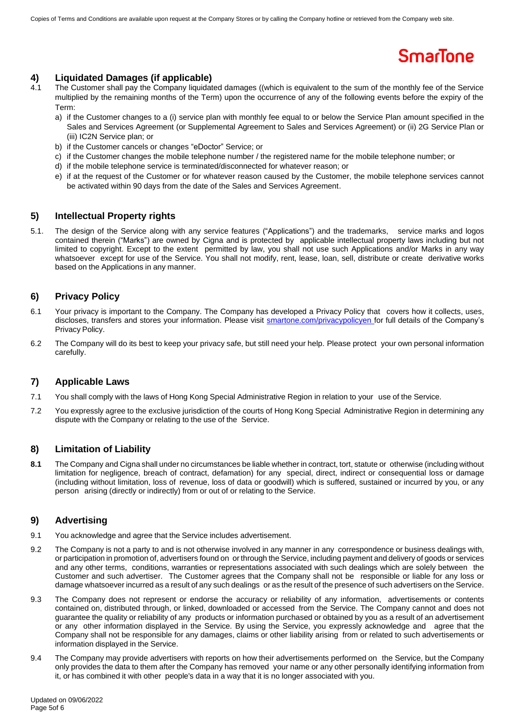### **4) Liquidated Damages (if applicable)**

- 4.1 The Customer shall pay the Company liquidated damages ((which is equivalent to the sum of the monthly fee of the Service multiplied by the remaining months of the Term) upon the occurrence of any of the following events before the expiry of the Term:
	- a) if the Customer changes to a (i) service plan with monthly fee equal to or below the Service Plan amount specified in the Sales and Services Agreement (or Supplemental Agreement to Sales and Services Agreement) or (ii) 2G Service Plan or (iii) IC2N Service plan; or
	- b) if the Customer cancels or changes "eDoctor" Service; or
	- c) if the Customer changes the mobile telephone number / the registered name for the mobile telephone number; or
	- d) if the mobile telephone service is terminated/disconnected for whatever reason; or
	- e) if at the request of the Customer or for whatever reason caused by the Customer, the mobile telephone services cannot be activated within 90 days from the date of the Sales and Services Agreement.

### **5) Intellectual Property rights**

5.1. The design of the Service along with any service features ("Applications") and the trademarks, service marks and logos contained therein ("Marks") are owned by Cigna and is protected by applicable intellectual property laws including but not limited to copyright. Except to the extent permitted by law, you shall not use such Applications and/or Marks in any way whatsoever except for use of the Service. You shall not modify, rent, lease, loan, sell, distribute or create derivative works based on the Applications in any manner.

### **6) Privacy Policy**

- 6.1 Your privacy is important to the Company. The Company has developed a Privacy Policy that covers how it collects, uses, discloses, transfers and stores your information. Please visit smartone.com/privacypolicyen for full details of the Company's Privacy Policy.
- 6.2 The Company will do its best to keep your privacy safe, but still need your help. Please protect your own personal information carefully.

### **7) Applicable Laws**

- 7.1 You shall comply with the laws of Hong Kong Special Administrative Region in relation to your use of the Service.
- 7.2 You expressly agree to the exclusive jurisdiction of the courts of Hong Kong Special Administrative Region in determining any dispute with the Company or relating to the use of the Service.

### **8) Limitation of Liability**

**8.1** The Company and Cigna shall under no circumstances be liable whether in contract, tort, statute or otherwise (including without limitation for negligence, breach of contract, defamation) for any special, direct, indirect or consequential loss or damage (including without limitation, loss of revenue, loss of data or goodwill) which is suffered, sustained or incurred by you, or any person arising (directly or indirectly) from or out of or relating to the Service.

### **9) Advertising**

- 9.1 You acknowledge and agree that the Service includes advertisement.
- 9.2 The Company is not a party to and is not otherwise involved in any manner in any correspondence or business dealings with, or participation in promotion of, advertisers found on or through the Service, including payment and delivery of goods or services and any other terms, conditions, warranties or representations associated with such dealings which are solely between the Customer and such advertiser. The Customer agrees that the Company shall not be responsible or liable for any loss or damage whatsoever incurred as a result of any such dealings or as the result of the presence of such advertisers on the Service.
- 9.3 The Company does not represent or endorse the accuracy or reliability of any information, advertisements or contents contained on, distributed through, or linked, downloaded or accessed from the Service. The Company cannot and does not guarantee the quality or reliability of any products or information purchased or obtained by you as a result of an advertisement or any other information displayed in the Service. By using the Service, you expressly acknowledge and agree that the Company shall not be responsible for any damages, claims or other liability arising from or related to such advertisements or information displayed in the Service.
- 9.4 The Company may provide advertisers with reports on how their advertisements performed on the Service, but the Company only provides the data to them after the Company has removed your name or any other personally identifying information from it, or has combined it with other people's data in a way that it is no longer associated with you.